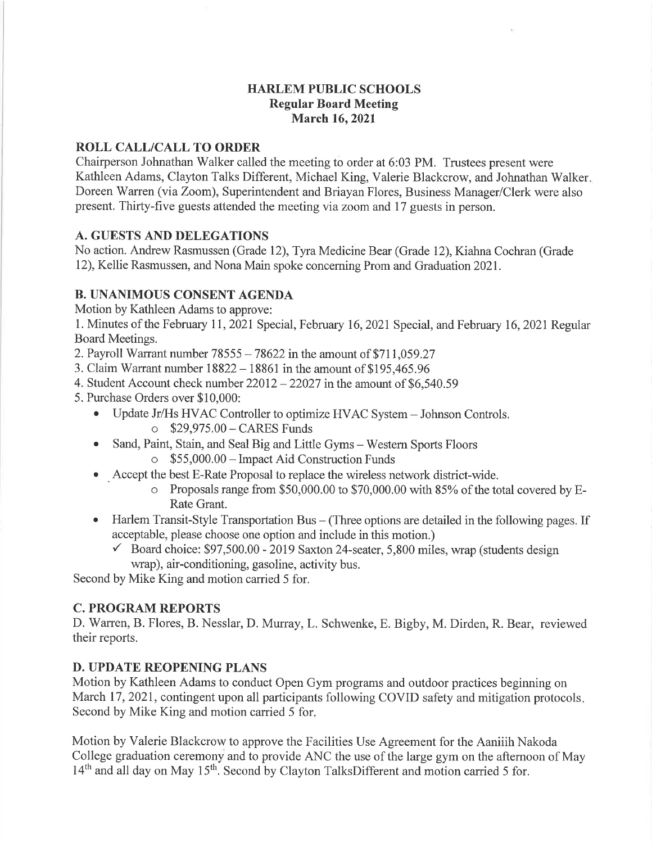## HARLEM PUBLIC SCHOOLS Regular Board Meeting March 16,2021

### ROLL CALL/CALL TO ORDER

Chairperson Johnathan Walker called the meeting to order at 6:03 PM. Trustees present were Kathleen Adams, Clayton Talks Different, Michael King, Valerie Blackcrow, and Johnathan Walker Doreen 'Warren (via Zoom), Superintendent and Briayan Flores, Business Manager/Clerk were also present. Thirty-five guests attended the meeting via zoom and 17 guests in person.

# A. GUESTS AND DELEGATIONS

No action. Andrew Rasmussen (Grade 12), Tyra Medicine Bear (Grade 12), Kiahna Cochran (Grade 12), Kellie Rasmussen, and Nona Main spoke concerning Prom and Graduation 2021.

# B. UNANIMOUS CONSENT AGENDA

Motion by Kathleen Adams to approve:

<sup>1</sup>. Minutes of the February Il , 2021 Special, February 16,2021 Special, and February 16, 2021 Regular Board Meetings.

2. Payroll Warrant number  $78555 - 78622$  in the amount of \$711,059.27

- 3. Claim Warrant number 18822- 18861 in the amount of \$195,465.96
- 4. Student Account check number  $22012 22027$  in the amount of \$6,540.59
- 5. Purchase Orders over \$10,000:
	- Update Jr/Hs HVAC Controller to optimize HVAC System Johnson Controls. o 529,975.00-CARES Funds
	- Sand, Paint, Stain, and Seal Big and Little Gyms Western Sports Floors
		- o \$55,000.00 Impact Aid Construction Funds
	- ¡ . Accept the best E-Rate Proposal to replace the wireless network district-wide.
		- o Proposals range from \$50,000.00 to \$70,000.00 with 85% of the total covered by E-Rate Grant.
	- Harlem Transit-Style Transportation Bus (Three options are detailed in the following pages. If acceptable, please choose one option and include in this motion.)
		- $\checkmark$  Board choice: \$97,500.00 2019 Saxton 24-seater, 5,800 miles, wrap (students design wrap), air-conditioning, gasoline, activity bus.

Second by Mike King and motion carried 5 for.

# C. PROGRAM REPORTS

D. Warren, B. Flores, B. Nesslar, D. Murray, L. Schwenke, E. Bigby, M. Dirden, R. Bear, reviewed their reports.

# D. UPDATE REOPENING PLANS

Motion by Kathleen Adams to conduct Open Gym programs and outdoor practices beginning on March 17, 2021, contingent upon all participants following COVID safety and mitigation protocols. Second by Mike King and motion carried 5 for.

Motion by Valerie Blackcrow to approve the Facilities Use Agreement for the Aaniiih Nakoda College graduation ceremony and to provide ANC the use of the large gym on the afternoon of May 14<sup>th</sup> and all day on May 15<sup>th</sup>. Second by Clayton TalksDifferent and motion carried 5 for.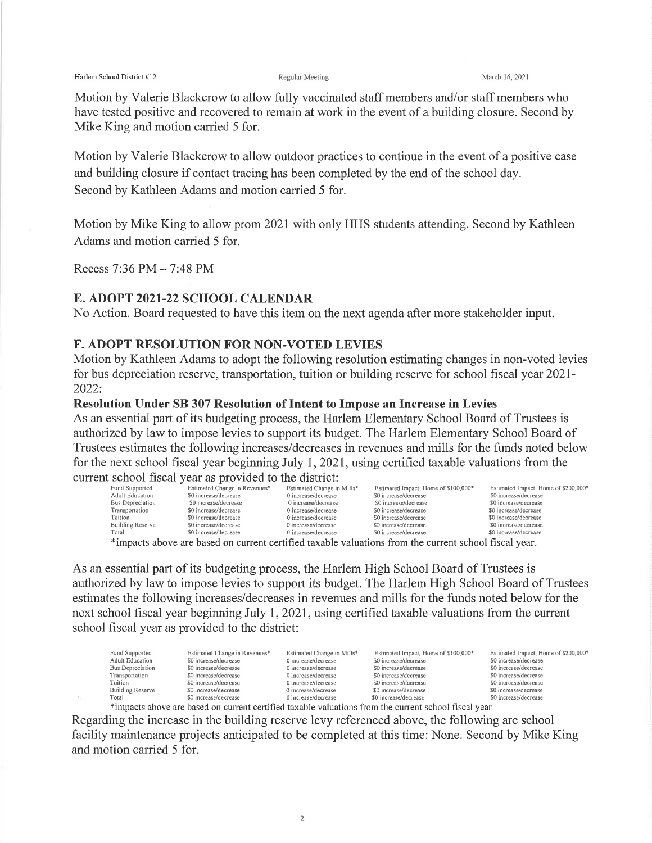Harlem School District #12 **Regular Meeting** Regular Meeting March 16, 2021

Motion by Valerie Blackcrow to allow fully vaccinated staff members and/or staff members who have tested positive and recovered to remain at work in the event of a building closure. Second by Mike King and motion carried 5 for.

Motion by Valerie Blackcrow to allow outdoor practices to continue in the event of a positive case and building closure if contact tracing has been completed by the end of the school day. Second by Kathleen Adams and motion carried 5 for.

Motion by Mike King to allow prom202I with only HHS students attending. Second by Kathleen Adams and motion carried 5 for.

Recess 7:36 PM - 7:48 PM

# E. ADOPT 2O2I-22 SCHOOL CALENDAR

No Action. Board requested to have this item on the next agenda after more stakeholder input.

## F. ADOPT RESOLUTION FOR NON.VOTED LEVIES

Motion by Kathleen Adams to adopt the following resolution estimating changes in non-voted levies for bus depreciation reserve, transportation, tuition or building reserve for school fiscal year 202I-2022:

### Resolution Under SB 307 Resolution of Intent to Impose an Increase in Levies

As an essential part of its budgeting process, the Harlem Elementary School Board of Trustees is authorized by law to impose levies to support its budget. The Harlem Elementary School Board of Trustees estimates the following increases/decreases in revenues and mills for the funds noted below for the next school fiscal year beginning July 1,202I, using certified taxable valuations from the current school fiscal year as provided to the district:

| Fund Supported                                                                                       | Estimated Change in Revenues* | Estimated Change in Mills* | Estimated Impact, Home of \$100,000* | Estimated Impact, Home of \$200,000* |  |  |
|------------------------------------------------------------------------------------------------------|-------------------------------|----------------------------|--------------------------------------|--------------------------------------|--|--|
| Adult Education                                                                                      | \$0 increase/decrease         | 0 increase/decrease        | \$0 increase/decrease                | \$0 increase/decrease                |  |  |
| Bus Depreciation                                                                                     | \$0 increase/decrease         | 0 increase/decrease        | \$0 increase/decrease                | \$0 increase/decrease                |  |  |
| Transportation                                                                                       | \$0 increase/decrease         | 0 increase/decrease        | \$0 increase/decrease                | \$0 increase/decrease                |  |  |
| Tuition                                                                                              | \$0 increase/decrease         | 0 increase/decrease        | \$0 increase/decrease                | \$0 increase/decrease                |  |  |
| <b>Building Reserve</b>                                                                              | \$0 increase/decrease         | 0 increase/decrease        | \$0 increase/decrease                | \$0 increase/decrease                |  |  |
| Total                                                                                                | \$0 increase/decrease         | 0 increase/decrease        | \$0 increase/decrease                | \$0 increase/decrease                |  |  |
| *impacts above are based on current certified taxable valuations from the current school fiscal year |                               |                            |                                      |                                      |  |  |

impacts above are based on current certified taxable valuations from the current school fiscal year.

As an essential part of its budgeting process, the Harlem High School Board of Trustees is authorized by law to impose levies to support its budget. The Harlem High School Board of Trustees estimates the following increases/decreases in revenues and mills for the funds noted below for the next school fiscal year beginning July 1,202I, using certified taxable valuations from the current school fiscal year as provided to the district:

| Fund Supported   | Estimated Change in Revenues* | Estimated Change in Mills* | Estimated Impact, Home of \$100,000* | Estimated Impact, Home of \$200,000* |
|------------------|-------------------------------|----------------------------|--------------------------------------|--------------------------------------|
| Adult Education  | \$0 increase/decrease         | 0 increase/decrease        | \$0 increase/decrease                | \$0 increase/decrease                |
| Bus Depreciation | \$0 increase/decrease         | 0 increase/decrease        | \$0 increase/decrease                | \$0 increase/decrease                |
| Transportation   | \$0 increase/decrease         | 0 increase/decrease        | \$0 increase/decrease                | \$0 increase/decrease                |
| Tuition          | \$0 increase/decrease         | 0 increase/decrease        | \$0 increase/decrease                | \$0 increase/decrease                |
| Building Reserve | \$0 increase/decrease         | 0 increase/decrease        | \$0 increase/decrease                | \$0 increase/decrease                |
| Total            | \$0 increase/decrease         | 0 increase/decrease        | \$0 increase/decrease                | \$0 increase/decrease                |

؟ \$0 increase/decrease on crease/decrease somerease/decrease \$0 increase/decrease \$0 increase/decrease \$0 increase/decrease \$1 and a some the current school fiscal year Regarding the increase in the building reserve levy referenced above, the following are school facility maintenance projects anticipated to be completed at this time: None. Second by Mike King and motion carried 5 for.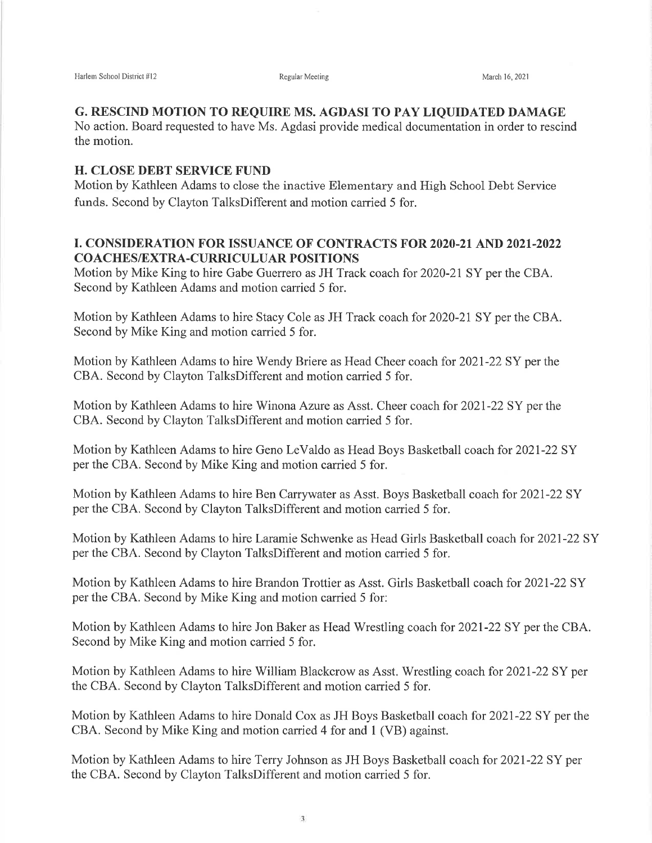#### G. RESCIND MOTION TO REQUIRE MS. AGDASI TO PAY LIQUIDATED DAMAGE

No action. Board requested to have Ms. Agdasi provide medical documentation in order to rescind the motion.

### H. CLOSE DEBT SERVICE FUND

Motion by Kathleen Adams to close the inactive Elementary and High School Debt Service funds. Second by Clayton TalksDifferent and motion carried 5 for.

## I. CONSIDERATION FOR ISSUANCE OF CONTRACTS FOR 2O2O-21 AND 202I.2022 COACHESÆXTRA-CURRICULUAR POSITIONS

Motion by Mike King to hire Gabe Guerrero as JH Track coach for 2020-21 SY per the CBA. Second by Kathleen Adams and motion carried 5 for.

Motion by Kathleen Adams to hire Stacy Cole as JH Track coach for 2020-2I SY per the CBA. Second by Mike King and motion carried 5 for.

Motion by Kathleen Adams to hire Wendy Briere as Head Cheer coach for 202I-22 SY per the CBA. Second by Clayton TalksDifferent and motion carried 5 for.

Motion by Kathleen Adams to hire Winona Azure as Asst. Cheer coach for 202I-22 SY per the CBA. Second by Clayton TalksDifferent and motion carried 5 for.

Motion by Kathleen Adams to hire Geno LeValdo as Head Boys Basketball coach for 202I-22 SY per the CBA. Second by Mike King and motion carried 5 for.

Motion by Kathleen Adams to hire Ben Carrywater as Asst. Boys Basketball coach for 2021-22 SY per the CBA. Second by Clayton TalksDifferent and motion carried 5 for.

Motion by Kathleen Adams to hire Laramie Schwenke as Head Girls Basketball coach for 2021-22 SY per the CBA. Second by Clayton TalksDifferent and motion carried 5 for.

Motion by Kathleen Adams to hire Brandon Trottier as Asst. Girls Basketball coach for 2021-22 SY per the CBA. Second by Mike King and motion carried 5 for:

Motion by Kathleen Adams to hire Jon Baker as Head Wrestling coach for 2021-22 SY per the CBA. Second by Mike King and motion carried 5 for.

Motion by Kathleen Adams to hire William Blackcrow as Asst. Wrestling coach for 2021-22 SY per the CBA. Second by Clayton TalksDifferent and motion carried 5 for.

Motion by Kathleen Adams to hire Donald Cox as JH Boys Basketball coach for 202I-22 SY per the CBA. Second by Mike King and motion carried 4 for and 1 (VB) against.

Motion by Kathleen Adams to hire Terry Johnson as JH Boys Basketball coach for 202I-22 SY per the CBA. Second by Clayton TalksDifferent and motion carried 5 for.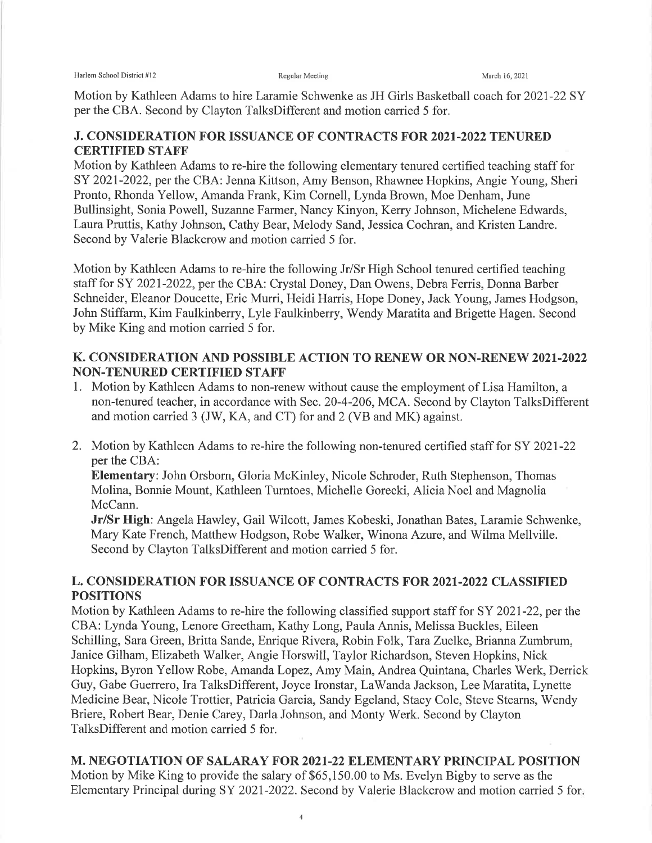Harlem School District #12 **Regular Meeting** Regular Meeting March 16, 2021

Motion by Kathleen Adams to hire Laramie Schwenke as JH Girls Basketball coach for 2021-22 SY per the CBA. Second by Clayton TalksDifferent and motion carried 5 for.

# J. CONSIDERATION FOR ISSUANCE OF CONTRACTS FOR 2021.2022 TENURED CERTIFIED STAFF

Motion by Kathleen Adams to re-hire the following elementary tenured certified teaching staff for SY 2021-2022, per the CBA: Jenna Kittson, Amy Benson, Rhawnee Hopkins, Angie Young, Sheri Pronto, Rhonda Yellow, Amanda Frank, Kim Cornell, Lynda Brown, Moe Denham, June Bullinsight, Sonia Powell, Suzanne Farmer, Nancy Kinyon, Kerry Johnson, Michelene Edwards, Laura Pruttis, Kathy Johnson, Cathy Bear, Melody Sand, Jessica Cochran, and Kristen Landre. Second by Valerie Blackcrow and motion carried 5 for.

Motion by Kathleen Adams to re-hire the following Jr/Sr High School tenured certified teaching staff for SY 2021-2022, per the CBA: Crystal Doney, Dan Owens, Debra Ferris, Donna Barber Schneider, Eleanor Doucette, Eric Murri, Heidi Harris, Hope Doney, Jack Young, James Hodgson, John Stiffarm, Kim Faulkinberry, Lyle Faulkinberry, Wendy Maratita and Brigette Hagen. Second by Mike King and motion carried 5 for.

# K. CONSIDERATION AND POSSIBLE ACTION TO RENEW OR NON.RENEW 202I.2022 NON.TENURED CERTIFIED STAFF

- l. Motion by Kathleen Adams to non-renew without cause the employment of Lisa Hamilton, <sup>a</sup> non-tenured teacher, in accordance with Sec.20-4-206, MCA. Second by Clayton TalksDifferent and motion carried 3 (JW, KA, and CT) for and 2 (VB and MK) against.
- 2. Motion by Kathleen Adams to re-hire the following non-tenured certified staff for SY 2021-22 per the CBA:

Elementary: John Orsborn, Gloria McKinley, Nicole Schroder, Ruth Stephenson, Thomas Molina, Bonnie Mount, Kathleen Tumtoes, Michelle Gorecki, Alicia Noel and Magnolia McCann.

Jr/Sr High: Angela Hawley, Gail Wilcott, James Kobeski, Jonathan Bates, Laramie Schwenke, Mary Kate French, Matthew Hodgson, Robe Walker, Winona Azure, and Wilma Mellville. Second by Clayton TalksDifferent and motion carried 5 for.

# L. CONSIDERATION FOR ISSUANCE OF CONTRACTS FOR 2O2I-2022 CLASSIFIED POSITIONS

Motion by Kathleen Adams to re-hire the following classified support staff for SY 202I-22, per the CBA: Lynda Young, Lenore Greetham, Kathy Long, Paula Annis, Melissa Buckles, Eileen Schilling, Sara Green, Britta Sande, Enrique Rivera, Robin Folk, Tara Zuelke, Brianna Zumbrum, Janice Gilham, Elizabeth Walker, Angie Horswill, Taylor Richardson, Steven Hopkins, Nick Hopkins, Byron Yellow Robe, Amanda Lopez, Amy Main, Andrea Quintana, Charles Werk, Derrick Guy, Gabe Guerrero, Ira TalksDifferent, Joyce Ironstar, LaWanda Jackson, Lee Maratita, Lynette Medicine Bear, Nicole Trottier, Patricia Garcia, Sandy Egeland, Stacy Cole, Steve Stearns, Wendy Briere, Robert Bear, Denie Carey, Darla Johnson, and Monty Werk. Second by Clayton TalksDifferent and motion carried 5 for.

M. NEGOTIATION OF SALARAY FOR 2021-22 ELEMENTARY PRINCIPAL POSITION Motion by Mike King to provide the salary of \$65,150.00 to Ms. Evelyn Bigby to serve as the Elementary Principal during SY 2021-2022. Second by Valerie Blackcrow and motion carried 5 for.